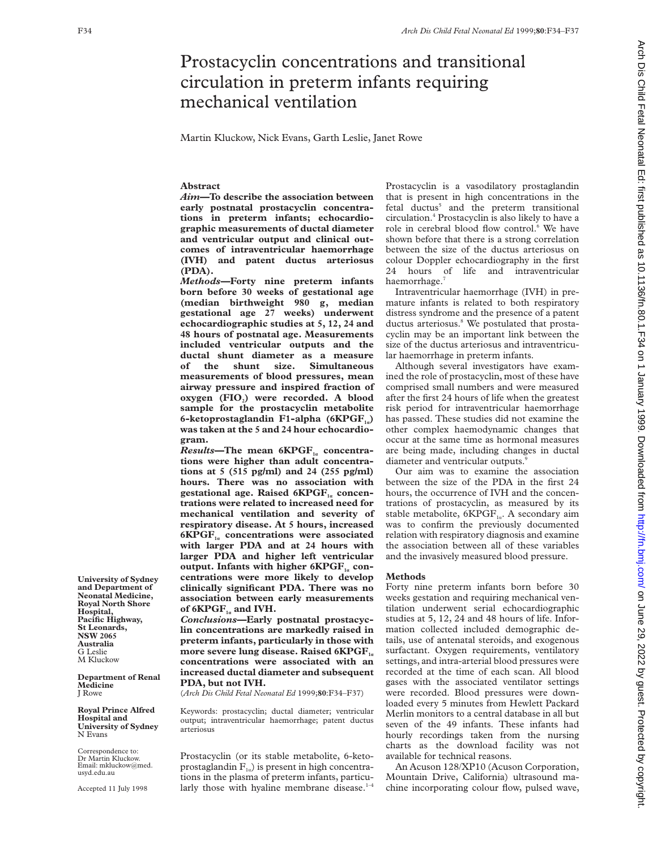# Prostacyclin concentrations and transitional circulation in preterm infants requiring mechanical ventilation

Martin Kluckow, Nick Evans, Garth Leslie, Janet Rowe

# **Abstract**

*Aim—***To describe the association between early postnatal prostacyclin concentrations in preterm infants; echocardiographic measurements of ductal diameter and ventricular output and clinical outcomes of intraventricular haemorrhage (IVH) and patent ductus arteriosus (PDA).**

*Methods—***Forty nine preterm infants born before 30 weeks of gestational age (median birthweight 980 g, median gestational age 27 weeks) underwent echocardiographic studies at 5, 12, 24 and 48 hours of postnatal age. Measurements included ventricular outputs and the ductal shunt diameter as a measure of the shunt size. Simultaneous measurements of blood pressures, mean airway pressure and inspired fraction of oxygen** (FIO<sub>2</sub>) were recorded. A blood **sample for the prostacyclin metabolite 6-ketoprostaglandin F1-alpha (6KPGF1á) was taken at the 5 and 24 hour echocardiogram.**

 $Results$ —The mean 6KPGF<sub>1</sub><sup> $\alpha$ </sup> concentra**tions were higher than adult concentrations at 5 (515 pg/ml) and 24 (255 pg/ml) hours. There was no association with** gestational age. Raised 6KPGF<sub>1a</sub> concen**trations were related to increased need for mechanical ventilation and severity of respiratory disease. At 5 hours, increased 6KPGF1<sup>á</sup> concentrations were associated with larger PDA and at 24 hours with larger PDA and higher left ventricular output. Infants with higher 6KPGF<sub>1a</sub> concentrations were more likely to develop clinically significant PDA. There was no association between early measurements of 6KPGF1<sup>á</sup> and IVH.**

*Conclusions—***Early postnatal prostacyclin concentrations are markedly raised in preterm infants, particularly in those with more severe lung disease. Raised 6KPGF**<sub> $i$ </sub> **concentrations were associated with an increased ductal diameter and subsequent PDA, but not IVH.**

(*Arch Dis Child Fetal Neonatal Ed* 1999;**80**:F34–F37)

Keywords: prostacyclin; ductal diameter; ventricular output; intraventricular haemorrhage; patent ductus arteriosus

Prostacyclin (or its stable metabolite, 6-ketoprostaglandin  $F_{1a}$ ) is present in high concentrations in the plasma of preterm infants, particularly those with hyaline membrane disease. $1-4$ 

Prostacyclin is a vasodilatory prostaglandin that is present in high concentrations in the fetal ductus<sup>5</sup> and the preterm transitional circulation.4 Prostacyclin is also likely to have a role in cerebral blood flow control.<sup>6</sup> We have shown before that there is a strong correlation between the size of the ductus arteriosus on colour Doppler echocardiography in the first 24 hours of life and intraventricular haemorrhage.<sup>7</sup>

Intraventricular haemorrhage (IVH) in premature infants is related to both respiratory distress syndrome and the presence of a patent ductus arteriosus.<sup>8</sup> We postulated that prostacyclin may be an important link between the size of the ductus arteriosus and intraventricular haemorrhage in preterm infants.

Although several investigators have examined the role of prostacyclin, most of these have comprised small numbers and were measured after the first 24 hours of life when the greatest risk period for intraventricular haemorrhage has passed. These studies did not examine the other complex haemodynamic changes that occur at the same time as hormonal measures are being made, including changes in ductal diameter and ventricular outputs.<sup>9</sup>

Our aim was to examine the association between the size of the PDA in the first 24 hours, the occurrence of IVH and the concentrations of prostacyclin, as measured by its stable metabolite,  $6KPGF_{1a}$ . A secondary aim was to confirm the previously documented relation with respiratory diagnosis and examine the association between all of these variables and the invasively measured blood pressure.

#### **Methods**

Forty nine preterm infants born before 30 weeks gestation and requiring mechanical ventilation underwent serial echocardiographic studies at 5, 12, 24 and 48 hours of life. Information collected included demographic details, use of antenatal steroids, and exogenous surfactant. Oxygen requirements, ventilatory settings, and intra-arterial blood pressures were recorded at the time of each scan. All blood gases with the associated ventilator settings were recorded. Blood pressures were downloaded every 5 minutes from Hewlett Packard Merlin monitors to a central database in all but seven of the 49 infants. These infants had hourly recordings taken from the nursing charts as the download facility was not available for technical reasons.

An Acuson 128/XP10 (Acuson Corporation, Mountain Drive, California) ultrasound machine incorporating colour flow, pulsed wave,

**University of Sydney and Department of Neonatal Medicine, Royal North Shore Hospital, Pacific Highway, St Leonards, NSW 2065 Australia** G Leslie M Kluckow

**Department of Renal Medicine** J Rowe

**Royal Prince Alfred Hospital and University of Sydney** N Evans

Correspondence to: Dr Martin Kluckow. Email: mkluckow@med. usyd.edu.au

Accepted 11 July 1998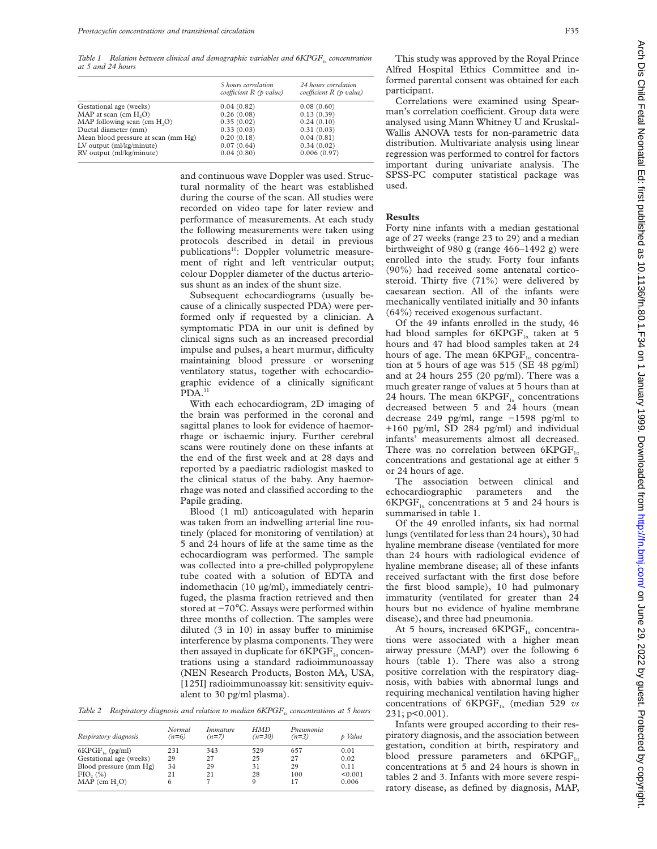*Table 1* Relation between clinical and demographic variables and  $6KPGF_{1a}$  concentration *at 5 and 24 hours*

|                                     | 5 hours correlation<br>coefficient $R$ (p value) | 24 hours correlation<br>coefficient $R$ (p value) |
|-------------------------------------|--------------------------------------------------|---------------------------------------------------|
| Gestational age (weeks)             | 0.04(0.82)                                       | 0.08(0.60)                                        |
| MAP at scan $(cm H2O)$              | 0.26(0.08)                                       | 0.13(0.39)                                        |
| MAP following scan $(cm H, O)$      | 0.35(0.02)                                       | 0.24(0.10)                                        |
| Ductal diameter (mm)                | 0.33(0.03)                                       | 0.31(0.03)                                        |
| Mean blood pressure at scan (mm Hg) | 0.20(0.18)                                       | 0.04(0.81)                                        |
| LV output (ml/kg/minute)            | 0.07(0.64)                                       | 0.34(0.02)                                        |
| RV output (ml/kg/minute)            | 0.04(0.80)                                       | 0.006(0.97)                                       |

and continuous wave Doppler was used. Structural normality of the heart was established during the course of the scan. All studies were recorded on video tape for later review and performance of measurements. At each study the following measurements were taken using protocols described in detail in previous publications<sup>10</sup>: Doppler volumetric measurement of right and left ventricular output; colour Doppler diameter of the ductus arteriosus shunt as an index of the shunt size.

Subsequent echocardiograms (usually because of a clinically suspected PDA) were performed only if requested by a clinician. A symptomatic PDA in our unit is defined by clinical signs such as an increased precordial impulse and pulses, a heart murmur, difficulty maintaining blood pressure or worsening ventilatory status, together with echocardiographic evidence of a clinically significant PDA.<sup>11</sup>

With each echocardiogram, 2D imaging of the brain was performed in the coronal and sagittal planes to look for evidence of haemorrhage or ischaemic injury. Further cerebral scans were routinely done on these infants at the end of the first week and at 28 days and reported by a paediatric radiologist masked to the clinical status of the baby. Any haemorrhage was noted and classified according to the Papile grading.

Blood (1 ml) anticoagulated with heparin was taken from an indwelling arterial line routinely (placed for monitoring of ventilation) at 5 and 24 hours of life at the same time as the echocardiogram was performed. The sample was collected into a pre-chilled polypropylene tube coated with a solution of EDTA and indomethacin (10 µg/ml), immediately centrifuged, the plasma fraction retrieved and then stored at −70°C. Assays were performed within three months of collection. The samples were diluted  $(3 \text{ in } 10)$  in assay buffer to minimise interference by plasma components. They were then assayed in duplicate for  $6KPGF_{1a}$  concentrations using a standard radioimmunoassay (NEN Research Products, Boston MA, USA, [125I] radioimmunoassay kit: sensitivity equivalent to 30 pg/ml plasma).

Table 2 Respiratory diagnosis and relation to median 6KPGF<sub>*i<sub>c</sub></sub> concentrations at 5 hours*</sub>

| Respiratory diagnosis   | Normal<br>$(n=6)$ | Immature<br>$(n=7)$ | HMD<br>$(n=30)$ | Pneumonia<br>$(n=3)$ | p Value |
|-------------------------|-------------------|---------------------|-----------------|----------------------|---------|
| $6KPGF_{1a}$ (pg/ml)    | 231               | 343                 | 529             | 657                  | 0.01    |
| Gestational age (weeks) | 29                | 27                  | 25              | 27                   | 0.02    |
| Blood pressure (mm Hg)  | 34                | 29                  | 31              | 29                   | 0.11    |
| FIO, (%)                | 21                | 21                  | 28              | 100                  | < 0.001 |
| $MAP$ (cm $H2O$ )       | 6                 |                     | 9               | 17                   | 0.006   |

This study was approved by the Royal Prince Alfred Hospital Ethics Committee and informed parental consent was obtained for each participant.

Correlations were examined using Spearman's correlation coefficient. Group data were analysed using Mann Whitney U and Kruskal-Wallis ANOVA tests for non-parametric data distribution. Multivariate analysis using linear regression was performed to control for factors important during univariate analysis. The SPSS-PC computer statistical package was used.

### **Results**

Forty nine infants with a median gestational age of 27 weeks (range 23 to 29) and a median birthweight of 980 g (range 466–1492 g) were enrolled into the study. Forty four infants (90%) had received some antenatal corticosteroid. Thirty five (71%) were delivered by caesarean section. All of the infants were mechanically ventilated initially and 30 infants (64%) received exogenous surfactant.

Of the 49 infants enrolled in the study, 46 had blood samples for  $6KPGF_{1a}$  taken at 5 hours and 47 had blood samples taken at 24 hours of age. The mean  $6KP\overline{G}F_{1a}$  concentration at 5 hours of age was 515 (SE 48 pg/ml) and at 24 hours 255 (20 pg/ml). There was a much greater range of values at 5 hours than at 24 hours. The mean  $6KPGF_{1a}$  concentrations decreased between 5 and 24 hours (mean decrease 249 pg/ml, range −1598 pg/ml to +160 pg/ml, SD 284 pg/ml) and individual infants' measurements almost all decreased. There was no correlation between  $6KPGF_{16}$ concentrations and gestational age at either 5 or 24 hours of age.

The association between clinical and echocardiographic parameters and the  $6KPGF_{1a}$  concentrations at 5 and 24 hours is summarised in table 1.

Of the 49 enrolled infants, six had normal lungs (ventilated for less than 24 hours), 30 had hyaline membrane disease (ventilated for more than 24 hours with radiological evidence of hyaline membrane disease; all of these infants received surfactant with the first dose before the first blood sample), 10 had pulmonary immaturity (ventilated for greater than 24 hours but no evidence of hyaline membrane disease), and three had pneumonia.

At 5 hours, increased  $6KPGF_{1a}$  concentrations were associated with a higher mean airway pressure (MAP) over the following 6 hours (table 1). There was also a strong positive correlation with the respiratory diagnosis, with babies with abnormal lungs and requiring mechanical ventilation having higher concentrations of  $6KPGF_{1a}$  (median 529 *vs*) 231; p<0.001).

Infants were grouped according to their respiratory diagnosis, and the association between gestation, condition at birth, respiratory and blood pressure parameters and  $6KPGF_{1a}$ concentrations at 5 and 24 hours is shown in tables 2 and 3. Infants with more severe respiratory disease, as defined by diagnosis, MAP,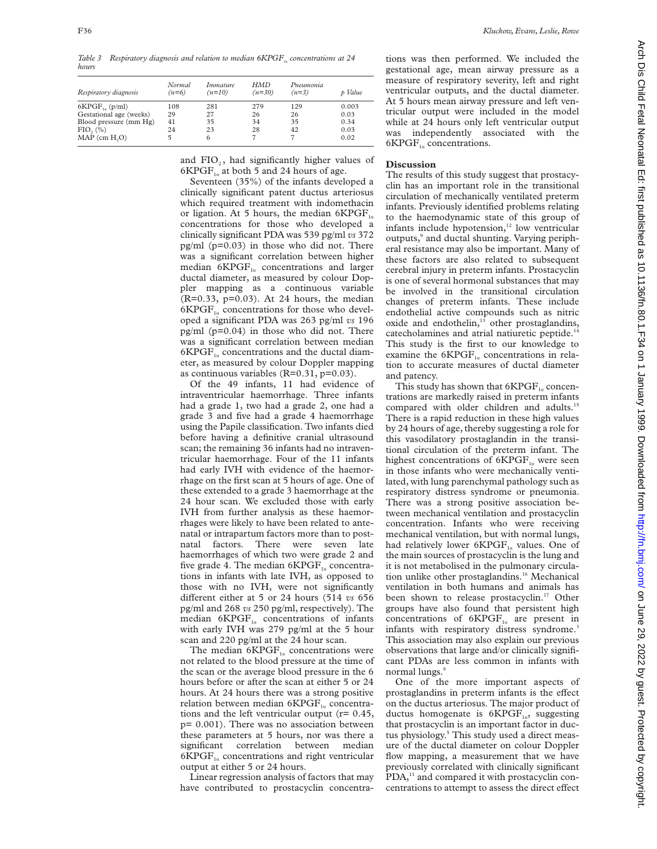*Table 3* Respiratory diagnosis and relation to median  $6KPGF_{1a}$  concentrations at 24 *hours*

| Respiratory diagnosis   | Normal<br>$(n=6)$ | Immature<br>$(n=10)$ | HMD<br>$(n=30)$ | Pneumonia<br>$(n=3)$ | p Value |
|-------------------------|-------------------|----------------------|-----------------|----------------------|---------|
| $6KPGF_{1a}$ (p/ml)     | 108               | 281                  | 279             | 129                  | 0.003   |
| Gestational age (weeks) | 29                | 27                   | 26              | 26                   | 0.03    |
| Blood pressure (mm Hg)  | 41                | 35                   | 34              | 35                   | 0.34    |
| FIO, (%)                | 24                | 23                   | 28              | 42                   | 0.03    |
| $MAP$ (cm $H2O$ )       |                   | 6                    |                 |                      | 0.02    |

and FIO<sub>2</sub>, had significantly higher values of  $6KPGF_{1a}$  at both 5 and 24 hours of age.

Seventeen (35%) of the infants developed a clinically significant patent ductus arteriosus which required treatment with indomethacin or ligation. At 5 hours, the median  $6KPGF_{1a}$ concentrations for those who developed a clinically significant PDA was 539 pg/ml *vs* 372 pg/ml (p=0.03) in those who did not. There was a significant correlation between higher median  $6KPGF_{1a}$  concentrations and larger ductal diameter, as measured by colour Doppler mapping as a continuous variable (R=0.33, p=0.03). At 24 hours, the median  $6KPGF_{1a}$  concentrations for those who developed a significant PDA was 263 pg/ml *vs* 196 pg/ml (p=0.04) in those who did not. There was a significant correlation between median  $6KPGF_{1a}$  concentrations and the ductal diameter, as measured by colour Doppler mapping as continuous variables (R=0.31, p=0.03).

Of the 49 infants, 11 had evidence of intraventricular haemorrhage. Three infants had a grade 1, two had a grade 2, one had a grade 3 and five had a grade 4 haemorrhage using the Papile classification. Two infants died before having a definitive cranial ultrasound scan; the remaining 36 infants had no intraventricular haemorrhage. Four of the 11 infants had early IVH with evidence of the haemorrhage on the first scan at 5 hours of age. One of these extended to a grade 3 haemorrhage at the 24 hour scan. We excluded those with early IVH from further analysis as these haemorrhages were likely to have been related to antenatal or intrapartum factors more than to postnatal factors. There were seven late haemorrhages of which two were grade 2 and five grade 4. The median  $6KPGF_{1a}$  concentrations in infants with late IVH, as opposed to those with no IVH, were not significantly different either at 5 or 24 hours (514 *vs* 656 pg/ml and 268 *vs* 250 pg/ml, respectively). The median  $6KPGF_{1a}$  concentrations of infants with early IVH was 279 pg/ml at the 5 hour scan and 220 pg/ml at the 24 hour scan.

The median  $6KPGF_{1a}$  concentrations were not related to the blood pressure at the time of the scan or the average blood pressure in the 6 hours before or after the scan at either 5 or 24 hours. At 24 hours there was a strong positive relation between median  $6KPGF_{1a}$  concentrations and the left ventricular output (r= 0.45, p= 0.001). There was no association between these parameters at 5 hours, nor was there a significant correlation between median  $6KPGF_{1a}$  concentrations and right ventricular output at either 5 or 24 hours.

Linear regression analysis of factors that may have contributed to prostacyclin concentrations was then performed. We included the gestational age, mean airway pressure as a measure of respiratory severity, left and right ventricular outputs, and the ductal diameter. At 5 hours mean airway pressure and left ventricular output were included in the model while at 24 hours only left ventricular output was independently associated with the  $6KPGF_{1a}$  concentrations.

## **Discussion**

The results of this study suggest that prostacyclin has an important role in the transitional circulation of mechanically ventilated preterm infants. Previously identified problems relating to the haemodynamic state of this group of infants include hypotension,<sup>12</sup> low ventricular outputs,<sup>9</sup> and ductal shunting. Varying peripheral resistance may also be important. Many of these factors are also related to subsequent cerebral injury in preterm infants. Prostacyclin is one of several hormonal substances that may be involved in the transitional circulation changes of preterm infants. These include endothelial active compounds such as nitric oxide and endothelin,<sup>13</sup> other prostaglandins, catecholamines and atrial natiuretic peptide.<sup>1</sup> This study is the first to our knowledge to examine the  $6KPGF_{1a}$  concentrations in relation to accurate measures of ductal diameter and patency.

This study has shown that  $6KPGF_{1a}$  concentrations are markedly raised in preterm infants compared with older children and adults.<sup>15</sup> There is a rapid reduction in these high values by 24 hours of age, thereby suggesting a role for this vasodilatory prostaglandin in the transitional circulation of the preterm infant. The highest concentrations of  $6KPGF_{1a}$  were seen in those infants who were mechanically ventilated, with lung parenchymal pathology such as respiratory distress syndrome or pneumonia. There was a strong positive association between mechanical ventilation and prostacyclin concentration. Infants who were receiving mechanical ventilation, but with normal lungs, had relatively lower  $6KPGF_{1a}$  values. One of the main sources of prostacyclin is the lung and it is not metabolised in the pulmonary circulation unlike other prostaglandins.<sup>16</sup> Mechanical ventilation in both humans and animals has been shown to release prostacyclin.<sup>17</sup> Other groups have also found that persistent high concentrations of  $6KPGF_{1a}$  are present in infants with respiratory distress syndrome.<sup>3</sup> This association may also explain our previous observations that large and/or clinically significant PDAs are less common in infants with normal lungs<sup>9</sup>

One of the more important aspects of prostaglandins in preterm infants is the effect on the ductus arteriosus. The major product of ductus homogenate is  $6KPGF_{1a}$ , suggesting that prostacyclin is an important factor in ductus physiology.<sup>5</sup> This study used a direct measure of the ductal diameter on colour Doppler flow mapping, a measurement that we have previously correlated with clinically significant PDA,<sup>11</sup> and compared it with prostacyclin concentrations to attempt to assess the direct effect